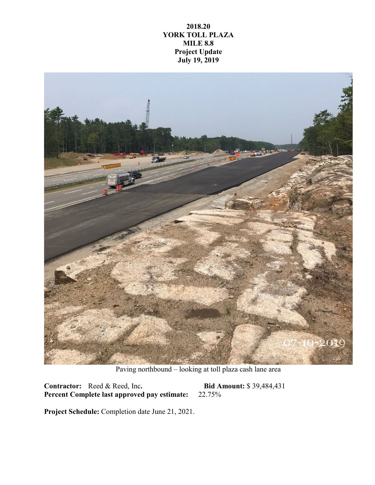## **2018.20 YORK TOLL PLAZA MILE 8.8 Project Update July 19, 2019**



Paving northbound – looking at toll plaza cash lane area

**Contractor:** Reed & Reed, Inc.<br>**Bid Amount:** \$ 39,484,431<br>**Percent Complete last approved pay estimate:** 22.75% Percent Complete last approved pay estimate:

**Project Schedule:** Completion date June 21, 2021.